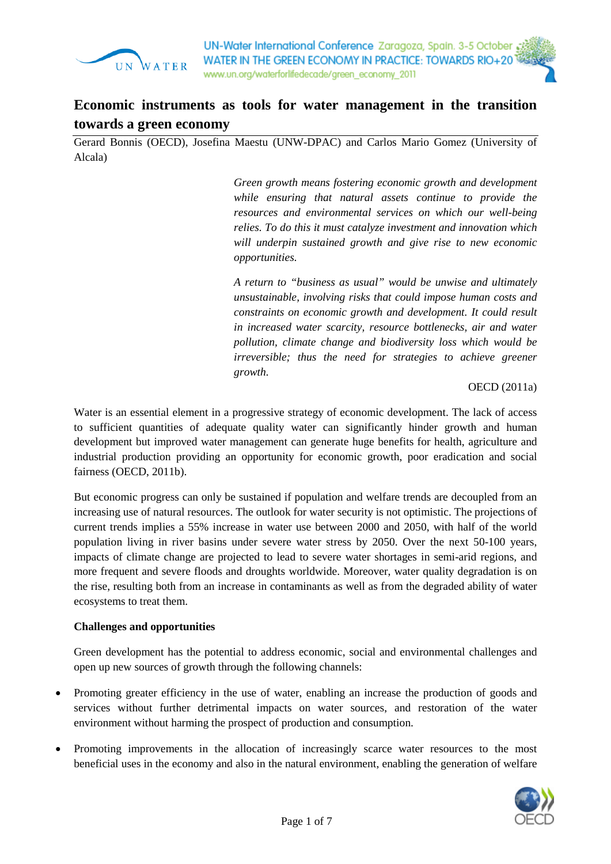

# **Economic instruments as tools for water management in the transition towards a green economy**

Gerard Bonnis (OECD), Josefina Maestu (UNW-DPAC) and Carlos Mario Gomez (University of Alcala)

> *Green growth means fostering economic growth and development while ensuring that natural assets continue to provide the resources and environmental services on which our well-being relies. To do this it must catalyze investment and innovation which will underpin sustained growth and give rise to new economic opportunities.*

> *A return to "business as usual" would be unwise and ultimately unsustainable, involving risks that could impose human costs and constraints on economic growth and development. It could result in increased water scarcity, resource bottlenecks, air and water pollution, climate change and biodiversity loss which would be irreversible; thus the need for strategies to achieve greener growth.*

#### OECD (2011a)

Water is an essential element in a progressive strategy of economic development. The lack of access to sufficient quantities of adequate quality water can significantly hinder growth and human development but improved water management can generate huge benefits for health, agriculture and industrial production providing an opportunity for economic growth, poor eradication and social fairness (OECD, 2011b).

But economic progress can only be sustained if population and welfare trends are decoupled from an increasing use of natural resources. The outlook for water security is not optimistic. The projections of current trends implies a 55% increase in water use between 2000 and 2050, with half of the world population living in river basins under severe water stress by 2050. Over the next 50-100 years, impacts of climate change are projected to lead to severe water shortages in semi-arid regions, and more frequent and severe floods and droughts worldwide. Moreover, water quality degradation is on the rise, resulting both from an increase in contaminants as well as from the degraded ability of water ecosystems to treat them.

## **Challenges and opportunities**

Green development has the potential to address economic, social and environmental challenges and open up new sources of growth through the following channels:

- Promoting greater efficiency in the use of water, enabling an increase the production of goods and services without further detrimental impacts on water sources, and restoration of the water environment without harming the prospect of production and consumption.
- Promoting improvements in the allocation of increasingly scarce water resources to the most beneficial uses in the economy and also in the natural environment, enabling the generation of welfare

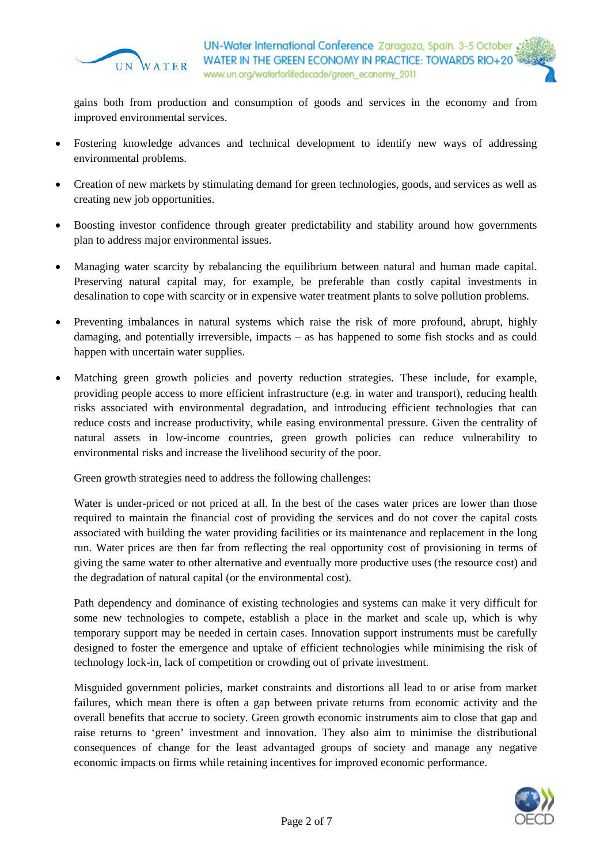

gains both from production and consumption of goods and services in the economy and from improved environmental services.

- Fostering knowledge advances and technical development to identify new ways of addressing environmental problems.
- Creation of new markets by stimulating demand for green technologies, goods, and services as well as creating new job opportunities.
- Boosting investor confidence through greater predictability and stability around how governments plan to address major environmental issues.
- Managing water scarcity by rebalancing the equilibrium between natural and human made capital. Preserving natural capital may, for example, be preferable than costly capital investments in desalination to cope with scarcity or in expensive water treatment plants to solve pollution problems.
- Preventing imbalances in natural systems which raise the risk of more profound, abrupt, highly damaging, and potentially irreversible, impacts – as has happened to some fish stocks and as could happen with uncertain water supplies.
- Matching green growth policies and poverty reduction strategies. These include, for example, providing people access to more efficient infrastructure (e.g. in water and transport), reducing health risks associated with environmental degradation, and introducing efficient technologies that can reduce costs and increase productivity, while easing environmental pressure. Given the centrality of natural assets in low-income countries, green growth policies can reduce vulnerability to environmental risks and increase the livelihood security of the poor.

Green growth strategies need to address the following challenges:

Water is under-priced or not priced at all. In the best of the cases water prices are lower than those required to maintain the financial cost of providing the services and do not cover the capital costs associated with building the water providing facilities or its maintenance and replacement in the long run. Water prices are then far from reflecting the real opportunity cost of provisioning in terms of giving the same water to other alternative and eventually more productive uses (the resource cost) and the degradation of natural capital (or the environmental cost).

Path dependency and dominance of existing technologies and systems can make it very difficult for some new technologies to compete, establish a place in the market and scale up, which is why temporary support may be needed in certain cases. Innovation support instruments must be carefully designed to foster the emergence and uptake of efficient technologies while minimising the risk of technology lock-in, lack of competition or crowding out of private investment.

Misguided government policies, market constraints and distortions all lead to or arise from market failures, which mean there is often a gap between private returns from economic activity and the overall benefits that accrue to society. Green growth economic instruments aim to close that gap and raise returns to 'green' investment and innovation. They also aim to minimise the distributional consequences of change for the least advantaged groups of society and manage any negative economic impacts on firms while retaining incentives for improved economic performance.

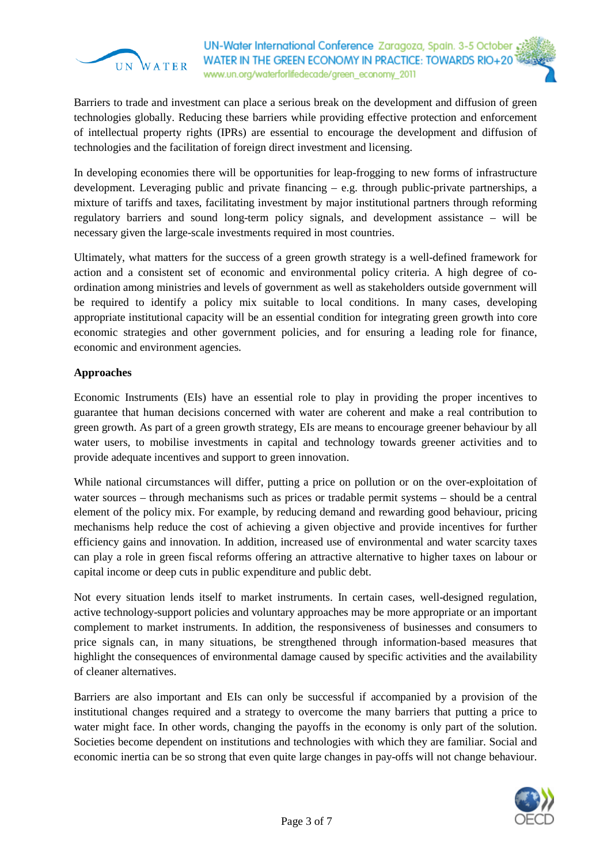

Barriers to trade and investment can place a serious break on the development and diffusion of green technologies globally. Reducing these barriers while providing effective protection and enforcement of intellectual property rights (IPRs) are essential to encourage the development and diffusion of technologies and the facilitation of foreign direct investment and licensing.

In developing economies there will be opportunities for leap-frogging to new forms of infrastructure development. Leveraging public and private financing – e.g. through public-private partnerships, a mixture of tariffs and taxes, facilitating investment by major institutional partners through reforming regulatory barriers and sound long-term policy signals, and development assistance – will be necessary given the large-scale investments required in most countries.

Ultimately, what matters for the success of a green growth strategy is a well-defined framework for action and a consistent set of economic and environmental policy criteria. A high degree of coordination among ministries and levels of government as well as stakeholders outside government will be required to identify a policy mix suitable to local conditions. In many cases, developing appropriate institutional capacity will be an essential condition for integrating green growth into core economic strategies and other government policies, and for ensuring a leading role for finance, economic and environment agencies.

## **Approaches**

Economic Instruments (EIs) have an essential role to play in providing the proper incentives to guarantee that human decisions concerned with water are coherent and make a real contribution to green growth. As part of a green growth strategy, EIs are means to encourage greener behaviour by all water users, to mobilise investments in capital and technology towards greener activities and to provide adequate incentives and support to green innovation.

While national circumstances will differ, putting a price on pollution or on the over-exploitation of water sources – through mechanisms such as prices or tradable permit systems – should be a central element of the policy mix. For example, by reducing demand and rewarding good behaviour, pricing mechanisms help reduce the cost of achieving a given objective and provide incentives for further efficiency gains and innovation. In addition, increased use of environmental and water scarcity taxes can play a role in green fiscal reforms offering an attractive alternative to higher taxes on labour or capital income or deep cuts in public expenditure and public debt.

Not every situation lends itself to market instruments. In certain cases, well-designed regulation, active technology-support policies and voluntary approaches may be more appropriate or an important complement to market instruments. In addition, the responsiveness of businesses and consumers to price signals can, in many situations, be strengthened through information-based measures that highlight the consequences of environmental damage caused by specific activities and the availability of cleaner alternatives.

Barriers are also important and EIs can only be successful if accompanied by a provision of the institutional changes required and a strategy to overcome the many barriers that putting a price to water might face. In other words, changing the payoffs in the economy is only part of the solution. Societies become dependent on institutions and technologies with which they are familiar. Social and economic inertia can be so strong that even quite large changes in pay-offs will not change behaviour.

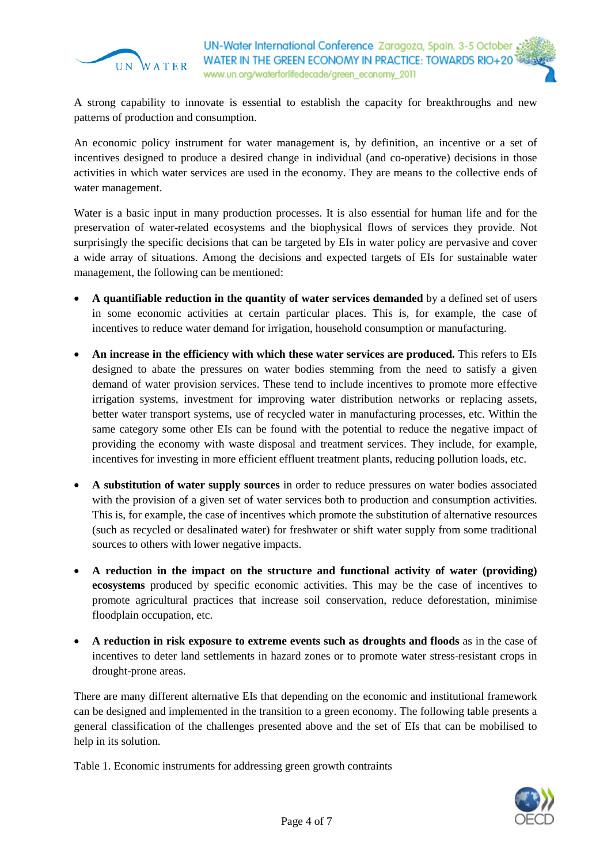

A strong capability to innovate is essential to establish the capacity for breakthroughs and new patterns of production and consumption.

An economic policy instrument for water management is, by definition, an incentive or a set of incentives designed to produce a desired change in individual (and co-operative) decisions in those activities in which water services are used in the economy. They are means to the collective ends of water management.

Water is a basic input in many production processes. It is also essential for human life and for the preservation of water-related ecosystems and the biophysical flows of services they provide. Not surprisingly the specific decisions that can be targeted by EIs in water policy are pervasive and cover a wide array of situations. Among the decisions and expected targets of EIs for sustainable water management, the following can be mentioned:

- **A quantifiable reduction in the quantity of water services demanded** by a defined set of users in some economic activities at certain particular places. This is, for example, the case of incentives to reduce water demand for irrigation, household consumption or manufacturing.
- **An increase in the efficiency with which these water services are produced.** This refers to EIs designed to abate the pressures on water bodies stemming from the need to satisfy a given demand of water provision services. These tend to include incentives to promote more effective irrigation systems, investment for improving water distribution networks or replacing assets, better water transport systems, use of recycled water in manufacturing processes, etc. Within the same category some other EIs can be found with the potential to reduce the negative impact of providing the economy with waste disposal and treatment services. They include, for example, incentives for investing in more efficient effluent treatment plants, reducing pollution loads, etc.
- **A substitution of water supply sources** in order to reduce pressures on water bodies associated with the provision of a given set of water services both to production and consumption activities. This is, for example, the case of incentives which promote the substitution of alternative resources (such as recycled or desalinated water) for freshwater or shift water supply from some traditional sources to others with lower negative impacts.
- **A reduction in the impact on the structure and functional activity of water (providing) ecosystems** produced by specific economic activities. This may be the case of incentives to promote agricultural practices that increase soil conservation, reduce deforestation, minimise floodplain occupation, etc.
- **A reduction in risk exposure to extreme events such as droughts and floods** as in the case of incentives to deter land settlements in hazard zones or to promote water stress-resistant crops in drought-prone areas.

There are many different alternative EIs that depending on the economic and institutional framework can be designed and implemented in the transition to a green economy. The following table presents a general classification of the challenges presented above and the set of EIs that can be mobilised to help in its solution.

Table 1. Economic instruments for addressing green growth contraints

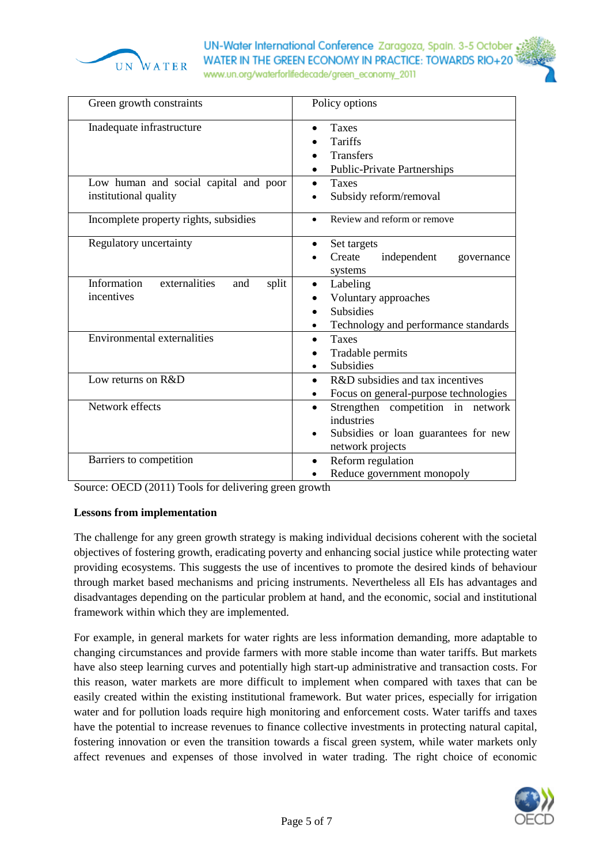

UN-Water International Conference Zaragoza, Spain. 3-5 October WATER IN THE GREEN ECONOMY IN PRACTICE: TOWARDS RIO+20 www.un.org/waterforlifedecade/green economy 2011

| Green growth constraints                                       | Policy options                                                                                                                        |
|----------------------------------------------------------------|---------------------------------------------------------------------------------------------------------------------------------------|
| Inadequate infrastructure                                      | Taxes<br><b>Tariffs</b><br>Transfers<br><b>Public-Private Partnerships</b><br>$\bullet$                                               |
| Low human and social capital and poor<br>institutional quality | Taxes<br>Subsidy reform/removal                                                                                                       |
| Incomplete property rights, subsidies                          | Review and reform or remove<br>$\bullet$                                                                                              |
| Regulatory uncertainty                                         | Set targets<br>independent<br>Create<br>governance<br>systems                                                                         |
| externalities<br>Information<br>and<br>split<br>incentives     | Labeling<br>٠<br>Voluntary approaches<br><b>Subsidies</b><br>Technology and performance standards                                     |
| <b>Environmental externalities</b>                             | Taxes<br>$\bullet$<br>Tradable permits<br><b>Subsidies</b>                                                                            |
| Low returns on R&D                                             | R&D subsidies and tax incentives<br>Focus on general-purpose technologies                                                             |
| Network effects                                                | Strengthen competition in network<br>$\bullet$<br>industries<br>Subsidies or loan guarantees for new<br>$\bullet$<br>network projects |
| Barriers to competition                                        | Reform regulation<br>Reduce government monopoly                                                                                       |

Source: OECD (2011) Tools for delivering green growth

## **Lessons from implementation**

The challenge for any green growth strategy is making individual decisions coherent with the societal objectives of fostering growth, eradicating poverty and enhancing social justice while protecting water providing ecosystems. This suggests the use of incentives to promote the desired kinds of behaviour through market based mechanisms and pricing instruments. Nevertheless all EIs has advantages and disadvantages depending on the particular problem at hand, and the economic, social and institutional framework within which they are implemented.

For example, in general markets for water rights are less information demanding, more adaptable to changing circumstances and provide farmers with more stable income than water tariffs. But markets have also steep learning curves and potentially high start-up administrative and transaction costs. For this reason, water markets are more difficult to implement when compared with taxes that can be easily created within the existing institutional framework. But water prices, especially for irrigation water and for pollution loads require high monitoring and enforcement costs. Water tariffs and taxes have the potential to increase revenues to finance collective investments in protecting natural capital, fostering innovation or even the transition towards a fiscal green system, while water markets only affect revenues and expenses of those involved in water trading. The right choice of economic

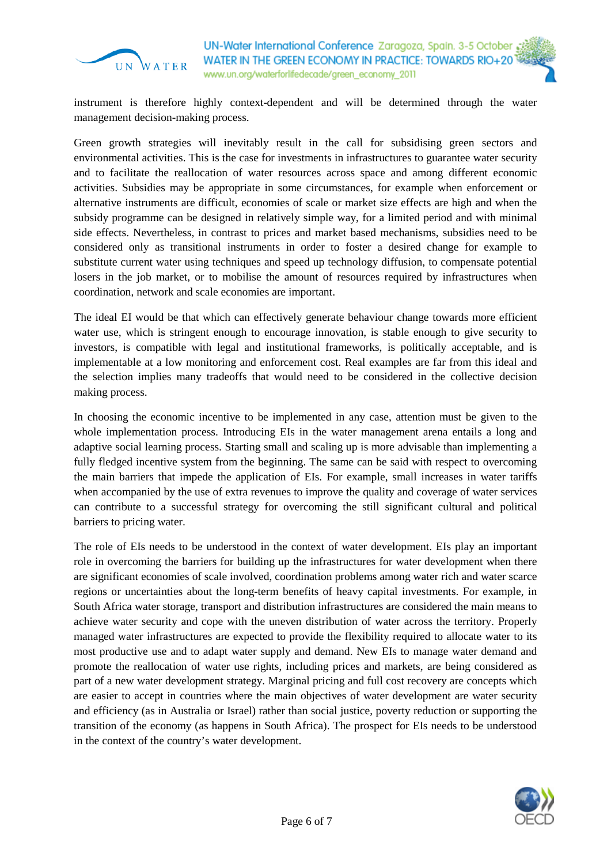

UN-Water International Conference Zaragoza, Spain. 3-5 October WATER IN THE GREEN ECONOMY IN PRACTICE: TOWARDS RIO+20 www.un.org/waterforlifedecade/green economy 2011

instrument is therefore highly context-dependent and will be determined through the water management decision-making process.

Green growth strategies will inevitably result in the call for subsidising green sectors and environmental activities. This is the case for investments in infrastructures to guarantee water security and to facilitate the reallocation of water resources across space and among different economic activities. Subsidies may be appropriate in some circumstances, for example when enforcement or alternative instruments are difficult, economies of scale or market size effects are high and when the subsidy programme can be designed in relatively simple way, for a limited period and with minimal side effects. Nevertheless, in contrast to prices and market based mechanisms, subsidies need to be considered only as transitional instruments in order to foster a desired change for example to substitute current water using techniques and speed up technology diffusion, to compensate potential losers in the job market, or to mobilise the amount of resources required by infrastructures when coordination, network and scale economies are important.

The ideal EI would be that which can effectively generate behaviour change towards more efficient water use, which is stringent enough to encourage innovation, is stable enough to give security to investors, is compatible with legal and institutional frameworks, is politically acceptable, and is implementable at a low monitoring and enforcement cost. Real examples are far from this ideal and the selection implies many tradeoffs that would need to be considered in the collective decision making process.

In choosing the economic incentive to be implemented in any case, attention must be given to the whole implementation process. Introducing EIs in the water management arena entails a long and adaptive social learning process. Starting small and scaling up is more advisable than implementing a fully fledged incentive system from the beginning. The same can be said with respect to overcoming the main barriers that impede the application of EIs. For example, small increases in water tariffs when accompanied by the use of extra revenues to improve the quality and coverage of water services can contribute to a successful strategy for overcoming the still significant cultural and political barriers to pricing water.

The role of EIs needs to be understood in the context of water development. EIs play an important role in overcoming the barriers for building up the infrastructures for water development when there are significant economies of scale involved, coordination problems among water rich and water scarce regions or uncertainties about the long-term benefits of heavy capital investments. For example, in South Africa water storage, transport and distribution infrastructures are considered the main means to achieve water security and cope with the uneven distribution of water across the territory. Properly managed water infrastructures are expected to provide the flexibility required to allocate water to its most productive use and to adapt water supply and demand. New EIs to manage water demand and promote the reallocation of water use rights, including prices and markets, are being considered as part of a new water development strategy. Marginal pricing and full cost recovery are concepts which are easier to accept in countries where the main objectives of water development are water security and efficiency (as in Australia or Israel) rather than social justice, poverty reduction or supporting the transition of the economy (as happens in South Africa). The prospect for EIs needs to be understood in the context of the country's water development.